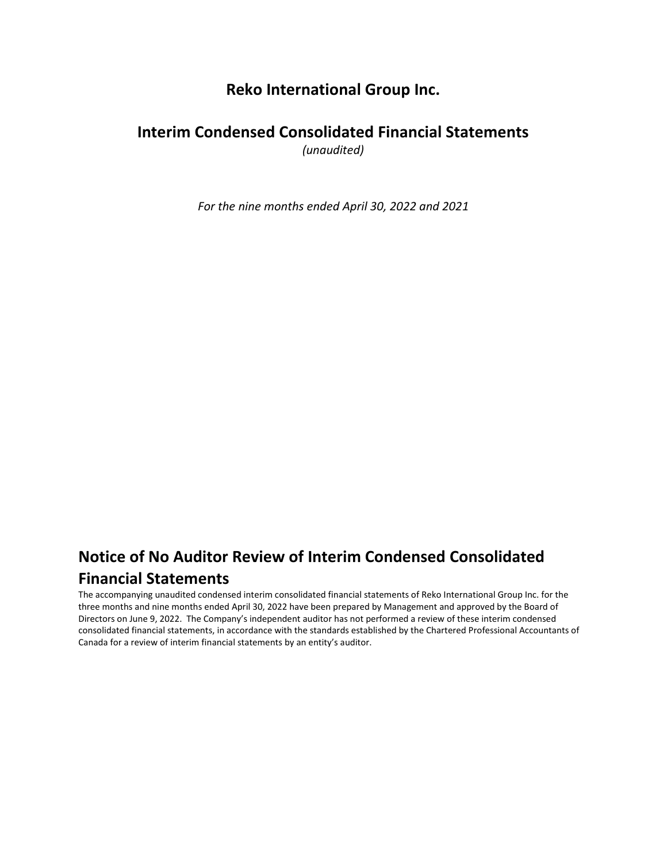# **Reko International Group Inc.**

# **Interim Condensed Consolidated Financial Statements**

*(unaudited)*

*For the nine months ended April 30, 2022 and 2021*

# **Notice of No Auditor Review of Interim Condensed Consolidated Financial Statements**

The accompanying unaudited condensed interim consolidated financial statements of Reko International Group Inc. for the three months and nine months ended April 30, 2022 have been prepared by Management and approved by the Board of Directors on June 9, 2022. The Company's independent auditor has not performed a review of these interim condensed consolidated financial statements, in accordance with the standards established by the Chartered Professional Accountants of Canada for a review of interim financial statements by an entity's auditor.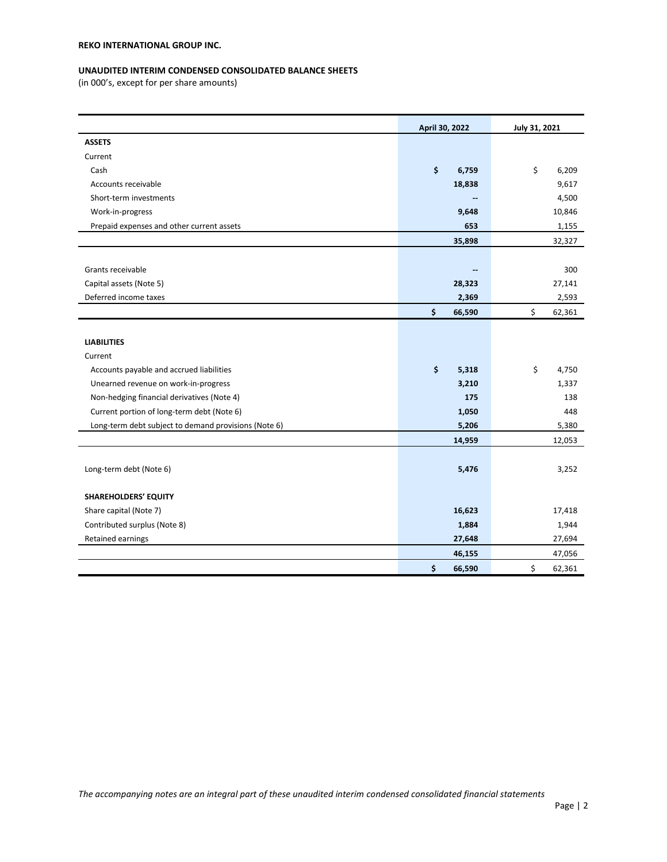## **UNAUDITED INTERIM CONDENSED CONSOLIDATED BALANCE SHEETS**

|                                                      | April 30, 2022 | July 31, 2021 |  |
|------------------------------------------------------|----------------|---------------|--|
| <b>ASSETS</b>                                        |                |               |  |
| Current                                              |                |               |  |
| Cash                                                 | \$<br>6,759    | \$<br>6,209   |  |
| Accounts receivable                                  | 18,838         | 9,617         |  |
| Short-term investments                               |                | 4,500         |  |
| Work-in-progress                                     | 9,648          | 10,846        |  |
| Prepaid expenses and other current assets            | 653            | 1,155         |  |
|                                                      | 35,898         | 32,327        |  |
|                                                      |                |               |  |
| Grants receivable                                    | --             | 300           |  |
| Capital assets (Note 5)                              | 28,323         | 27,141        |  |
| Deferred income taxes                                | 2,369          | 2,593         |  |
|                                                      | \$<br>66,590   | \$<br>62,361  |  |
|                                                      |                |               |  |
| <b>LIABILITIES</b>                                   |                |               |  |
| Current                                              |                |               |  |
| Accounts payable and accrued liabilities             | \$<br>5,318    | \$<br>4,750   |  |
| Unearned revenue on work-in-progress                 | 3,210          | 1,337         |  |
| Non-hedging financial derivatives (Note 4)           | 175            | 138           |  |
| Current portion of long-term debt (Note 6)           | 1,050          | 448           |  |
| Long-term debt subject to demand provisions (Note 6) | 5,206          | 5,380         |  |
|                                                      | 14,959         | 12,053        |  |
|                                                      |                |               |  |
| Long-term debt (Note 6)                              | 5,476          | 3,252         |  |
|                                                      |                |               |  |
| <b>SHAREHOLDERS' EQUITY</b>                          |                |               |  |
| Share capital (Note 7)                               | 16,623         | 17,418        |  |
| Contributed surplus (Note 8)                         | 1,884          | 1,944         |  |
| Retained earnings                                    | 27,648         | 27,694        |  |
|                                                      | 46,155         | 47,056        |  |
|                                                      | \$<br>66,590   | \$<br>62,361  |  |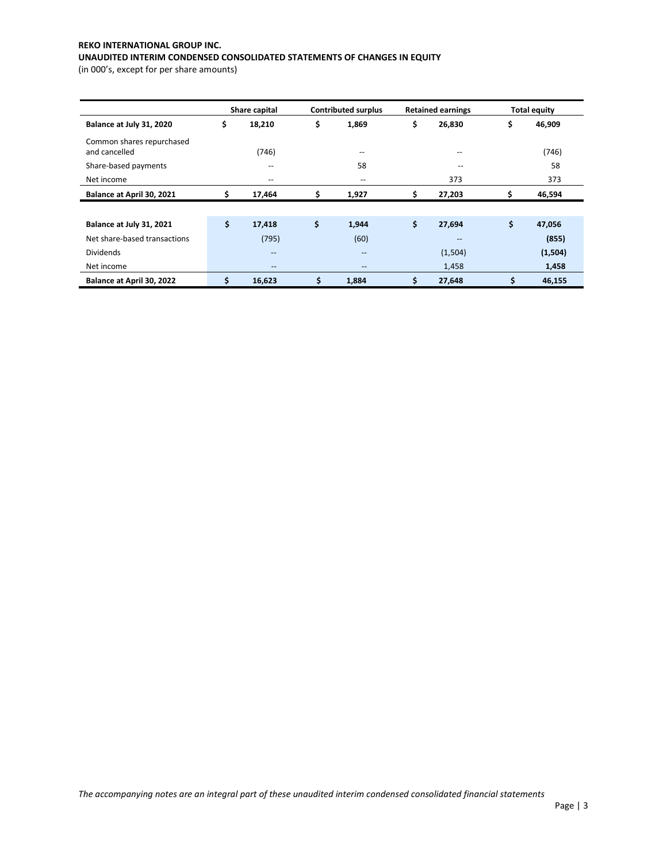# **REKO INTERNATIONAL GROUP INC.**

## **UNAUDITED INTERIM CONDENSED CONSOLIDATED STATEMENTS OF CHANGES IN EQUITY**

|                                            | Share capital     |    | <b>Contributed surplus</b><br><b>Retained earnings</b> |    |         | <b>Total equity</b> |
|--------------------------------------------|-------------------|----|--------------------------------------------------------|----|---------|---------------------|
| Balance at July 31, 2020                   | \$<br>18,210      | \$ | 1,869                                                  | \$ | 26,830  | \$<br>46,909        |
| Common shares repurchased<br>and cancelled | (746)             |    | --                                                     |    | --      | (746)               |
| Share-based payments                       | $-$               |    | 58                                                     |    | --      | 58                  |
| Net income                                 | $- -$             |    | --                                                     |    | 373     | 373                 |
| Balance at April 30, 2021                  | \$<br>17,464      | \$ | 1,927                                                  | \$ | 27,203  | \$<br>46,594        |
|                                            |                   |    |                                                        |    |         |                     |
| Balance at July 31, 2021                   | \$<br>17,418      | \$ | 1,944                                                  | \$ | 27,694  | \$<br>47,056        |
| Net share-based transactions               | (795)             |    | (60)                                                   |    | --      | (855)               |
| <b>Dividends</b>                           | $\qquad \qquad -$ |    | $\qquad \qquad -$                                      |    | (1,504) | (1,504)             |
| Net income                                 | --                |    | $\qquad \qquad -$                                      |    | 1,458   | 1,458               |
| Balance at April 30, 2022                  | \$<br>16,623      | \$ | 1,884                                                  | \$ | 27,648  | \$<br>46,155        |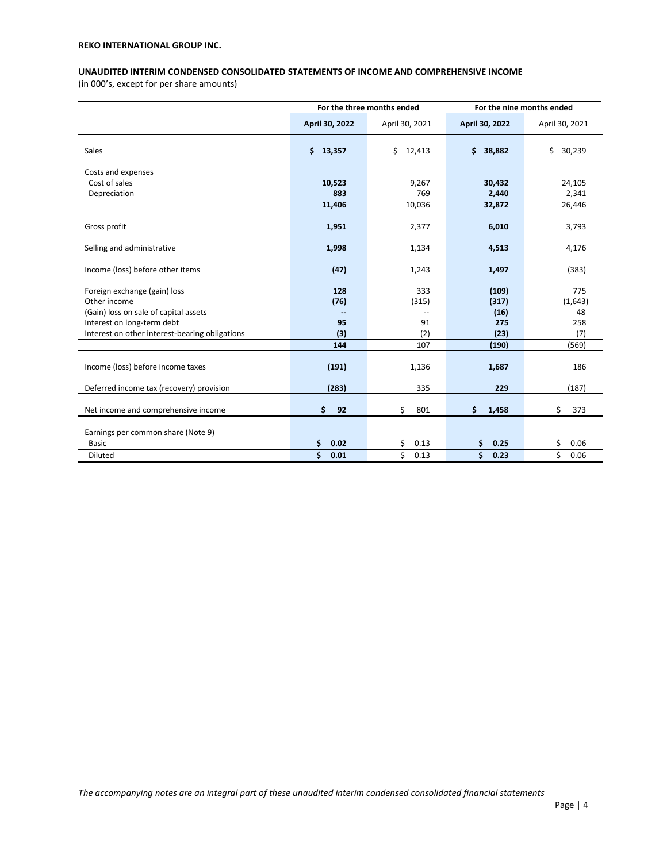## **UNAUDITED INTERIM CONDENSED CONSOLIDATED STATEMENTS OF INCOME AND COMPREHENSIVE INCOME**

|                                                    |                | For the three months ended | For the nine months ended |                |  |
|----------------------------------------------------|----------------|----------------------------|---------------------------|----------------|--|
|                                                    | April 30, 2022 | April 30, 2021             | April 30, 2022            | April 30, 2021 |  |
| Sales                                              | \$<br>13,357   | \$<br>12,413               | \$<br>38,882              | \$<br>30,239   |  |
| Costs and expenses                                 |                |                            |                           |                |  |
| Cost of sales                                      | 10,523         | 9,267                      | 30,432                    | 24,105         |  |
| Depreciation                                       | 883            | 769                        | 2,440                     | 2,341          |  |
|                                                    | 11,406         | 10,036                     | 32,872                    | 26,446         |  |
| Gross profit                                       | 1,951          | 2,377                      | 6,010                     | 3,793          |  |
| Selling and administrative                         | 1,998          | 1,134                      | 4,513                     | 4,176          |  |
| Income (loss) before other items                   | (47)           | 1,243                      | 1,497                     | (383)          |  |
| Foreign exchange (gain) loss                       | 128            | 333                        | (109)                     | 775            |  |
| Other income                                       | (76)           | (315)                      | (317)                     | (1,643)        |  |
| (Gain) loss on sale of capital assets              |                | $\overline{\phantom{a}}$   | (16)                      | 48             |  |
| Interest on long-term debt                         | 95             | 91                         | 275                       | 258            |  |
| Interest on other interest-bearing obligations     | (3)            | (2)                        | (23)                      | (7)            |  |
|                                                    | 144            | 107                        | (190)                     | (569)          |  |
| Income (loss) before income taxes                  | (191)          | 1,136                      | 1,687                     | 186            |  |
| Deferred income tax (recovery) provision           | (283)          | 335                        | 229                       | (187)          |  |
| Net income and comprehensive income                | \$<br>92       | \$<br>801                  | \$<br>1,458               | \$<br>373      |  |
| Earnings per common share (Note 9)<br><b>Basic</b> | \$<br>0.02     | \$<br>0.13                 | \$<br>0.25                | \$<br>0.06     |  |
| <b>Diluted</b>                                     | \$<br>0.01     | Ś.<br>0.13                 | \$<br>0.23                | \$<br>0.06     |  |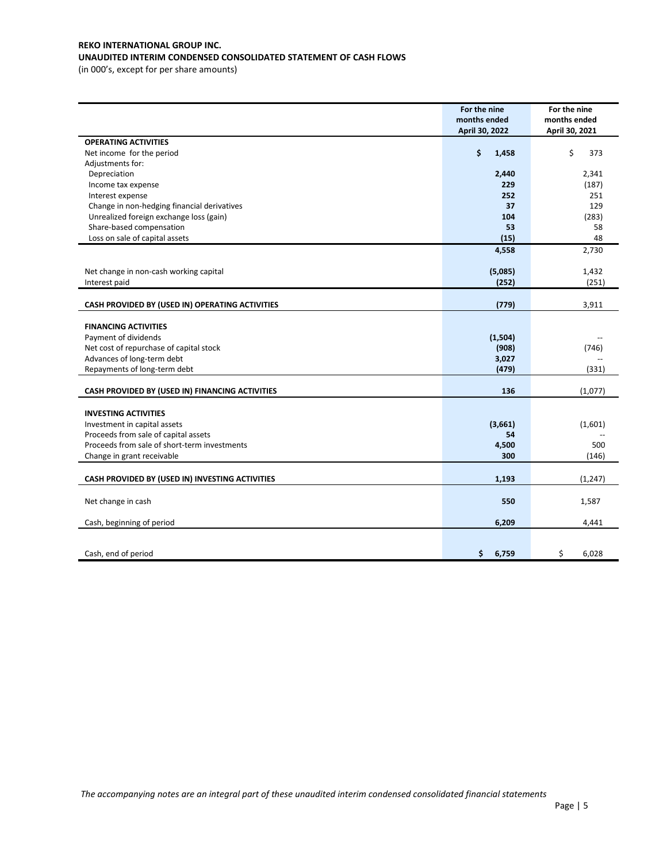## **REKO INTERNATIONAL GROUP INC. UNAUDITED INTERIM CONDENSED CONSOLIDATED STATEMENT OF CASH FLOWS**

|                                                 | For the nine   | For the nine   |  |
|-------------------------------------------------|----------------|----------------|--|
|                                                 | months ended   | months ended   |  |
|                                                 | April 30, 2022 | April 30, 2021 |  |
| <b>OPERATING ACTIVITIES</b>                     |                |                |  |
| Net income for the period                       | \$<br>1,458    | \$<br>373      |  |
| Adjustments for:                                |                |                |  |
| Depreciation                                    | 2,440          | 2,341          |  |
| Income tax expense                              | 229            | (187)          |  |
| Interest expense                                | 252            | 251            |  |
| Change in non-hedging financial derivatives     | 37             | 129            |  |
| Unrealized foreign exchange loss (gain)         | 104            | (283)          |  |
| Share-based compensation                        | 53             | 58             |  |
| Loss on sale of capital assets                  | (15)           | 48             |  |
|                                                 | 4,558          | 2,730          |  |
| Net change in non-cash working capital          | (5,085)        | 1,432          |  |
| Interest paid                                   | (252)          | (251)          |  |
|                                                 |                |                |  |
| CASH PROVIDED BY (USED IN) OPERATING ACTIVITIES | (779)          | 3,911          |  |
| <b>FINANCING ACTIVITIES</b>                     |                |                |  |
| Payment of dividends                            | (1,504)        |                |  |
| Net cost of repurchase of capital stock         | (908)          | (746)          |  |
| Advances of long-term debt                      | 3,027          |                |  |
| Repayments of long-term debt                    | (479)          | (331)          |  |
|                                                 |                |                |  |
| CASH PROVIDED BY (USED IN) FINANCING ACTIVITIES | 136            | (1,077)        |  |
| <b>INVESTING ACTIVITIES</b>                     |                |                |  |
| Investment in capital assets                    | (3,661)        | (1,601)        |  |
| Proceeds from sale of capital assets            | 54             |                |  |
| Proceeds from sale of short-term investments    | 4,500          | 500            |  |
| Change in grant receivable                      | 300            | (146)          |  |
|                                                 |                |                |  |
| CASH PROVIDED BY (USED IN) INVESTING ACTIVITIES | 1,193          | (1, 247)       |  |
|                                                 |                |                |  |
| Net change in cash                              | 550            | 1,587          |  |
| Cash, beginning of period                       | 6,209          | 4,441          |  |
|                                                 |                |                |  |
| Cash, end of period                             | \$<br>6,759    | \$<br>6,028    |  |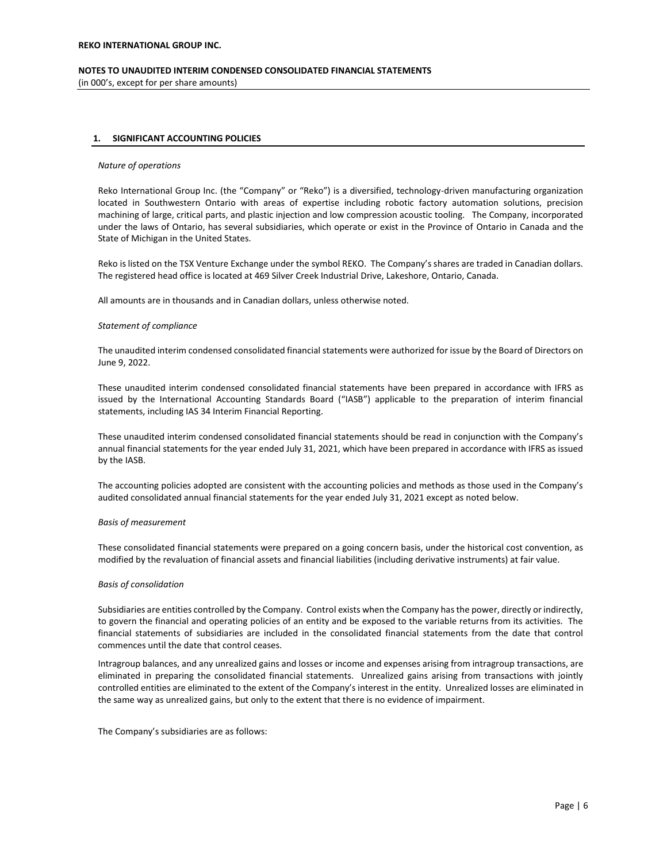(in 000's, except for per share amounts)

#### **1. SIGNIFICANT ACCOUNTING POLICIES**

#### *Nature of operations*

Reko International Group Inc. (the "Company" or "Reko") is a diversified, technology-driven manufacturing organization located in Southwestern Ontario with areas of expertise including robotic factory automation solutions, precision machining of large, critical parts, and plastic injection and low compression acoustic tooling. The Company, incorporated under the laws of Ontario, has several subsidiaries, which operate or exist in the Province of Ontario in Canada and the State of Michigan in the United States.

Reko is listed on the TSX Venture Exchange under the symbol REKO. The Company's shares are traded in Canadian dollars. The registered head office is located at 469 Silver Creek Industrial Drive, Lakeshore, Ontario, Canada.

All amounts are in thousands and in Canadian dollars, unless otherwise noted.

#### *Statement of compliance*

The unaudited interim condensed consolidated financial statements were authorized for issue by the Board of Directors on June 9, 2022.

These unaudited interim condensed consolidated financial statements have been prepared in accordance with IFRS as issued by the International Accounting Standards Board ("IASB") applicable to the preparation of interim financial statements, including IAS 34 Interim Financial Reporting.

These unaudited interim condensed consolidated financial statements should be read in conjunction with the Company's annual financial statements for the year ended July 31, 2021, which have been prepared in accordance with IFRS as issued by the IASB.

The accounting policies adopted are consistent with the accounting policies and methods as those used in the Company's audited consolidated annual financial statements for the year ended July 31, 2021 except as noted below.

#### *Basis of measurement*

These consolidated financial statements were prepared on a going concern basis, under the historical cost convention, as modified by the revaluation of financial assets and financial liabilities (including derivative instruments) at fair value.

## *Basis of consolidation*

Subsidiaries are entities controlled by the Company. Control exists when the Company has the power, directly or indirectly, to govern the financial and operating policies of an entity and be exposed to the variable returns from its activities. The financial statements of subsidiaries are included in the consolidated financial statements from the date that control commences until the date that control ceases.

Intragroup balances, and any unrealized gains and losses or income and expenses arising from intragroup transactions, are eliminated in preparing the consolidated financial statements. Unrealized gains arising from transactions with jointly controlled entities are eliminated to the extent of the Company's interest in the entity. Unrealized losses are eliminated in the same way as unrealized gains, but only to the extent that there is no evidence of impairment.

The Company's subsidiaries are as follows: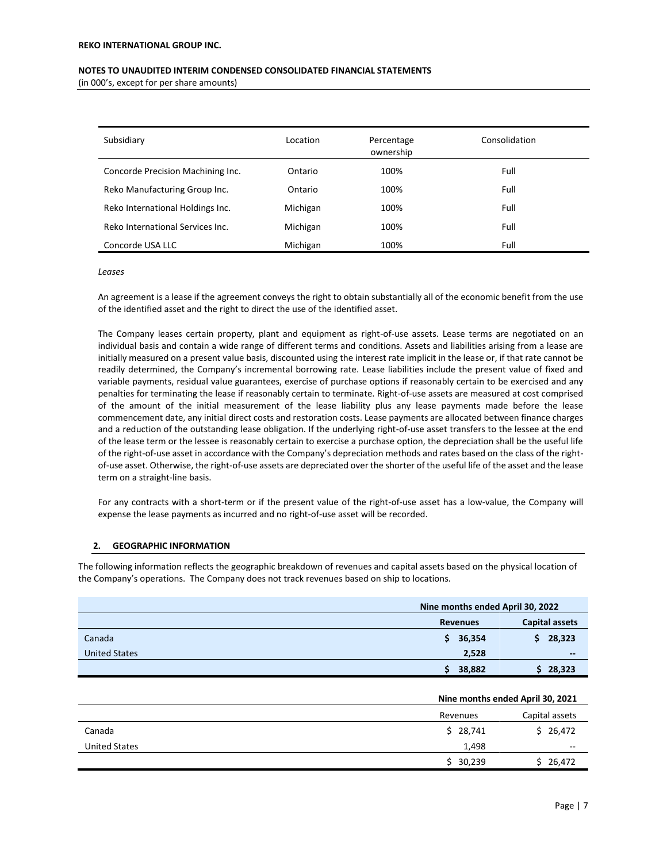(in 000's, except for per share amounts)

| Subsidiary                        | Location | Percentage<br>ownership | Consolidation |
|-----------------------------------|----------|-------------------------|---------------|
| Concorde Precision Machining Inc. | Ontario  | 100%                    | Full          |
| Reko Manufacturing Group Inc.     | Ontario  | 100%                    | Full          |
| Reko International Holdings Inc.  | Michigan | 100%                    | Full          |
| Reko International Services Inc.  | Michigan | 100%                    | Full          |
| Concorde USA LLC                  | Michigan | 100%                    | Full          |

#### *Leases*

An agreement is a lease if the agreement conveys the right to obtain substantially all of the economic benefit from the use of the identified asset and the right to direct the use of the identified asset.

The Company leases certain property, plant and equipment as right-of-use assets. Lease terms are negotiated on an individual basis and contain a wide range of different terms and conditions. Assets and liabilities arising from a lease are initially measured on a present value basis, discounted using the interest rate implicit in the lease or, if that rate cannot be readily determined, the Company's incremental borrowing rate. Lease liabilities include the present value of fixed and variable payments, residual value guarantees, exercise of purchase options if reasonably certain to be exercised and any penalties for terminating the lease if reasonably certain to terminate. Right-of-use assets are measured at cost comprised of the amount of the initial measurement of the lease liability plus any lease payments made before the lease commencement date, any initial direct costs and restoration costs. Lease payments are allocated between finance charges and a reduction of the outstanding lease obligation. If the underlying right-of-use asset transfers to the lessee at the end of the lease term or the lessee is reasonably certain to exercise a purchase option, the depreciation shall be the useful life of the right-of-use asset in accordance with the Company's depreciation methods and rates based on the class of the rightof-use asset. Otherwise, the right-of-use assets are depreciated over the shorter of the useful life of the asset and the lease term on a straight-line basis.

For any contracts with a short-term or if the present value of the right-of-use asset has a low-value, the Company will expense the lease payments as incurred and no right-of-use asset will be recorded.

## **2. GEOGRAPHIC INFORMATION**

The following information reflects the geographic breakdown of revenues and capital assets based on the physical location of the Company's operations. The Company does not track revenues based on ship to locations.

|                      |                 | Nine months ended April 30, 2022 |  |  |
|----------------------|-----------------|----------------------------------|--|--|
|                      | <b>Revenues</b> | Capital assets                   |  |  |
| Canada               | 36,354          | 28,323                           |  |  |
| <b>United States</b> | 2,528           | $\overline{\phantom{m}}$         |  |  |
|                      | 38,882          | 28,323                           |  |  |

|                      |          | Nine months ended April 30, 2021 |  |  |
|----------------------|----------|----------------------------------|--|--|
|                      | Revenues | Capital assets                   |  |  |
| Canada               | \$28,741 | \$26,472                         |  |  |
| <b>United States</b> | 1.498    | $-$                              |  |  |
|                      | 30,239   | 26,472                           |  |  |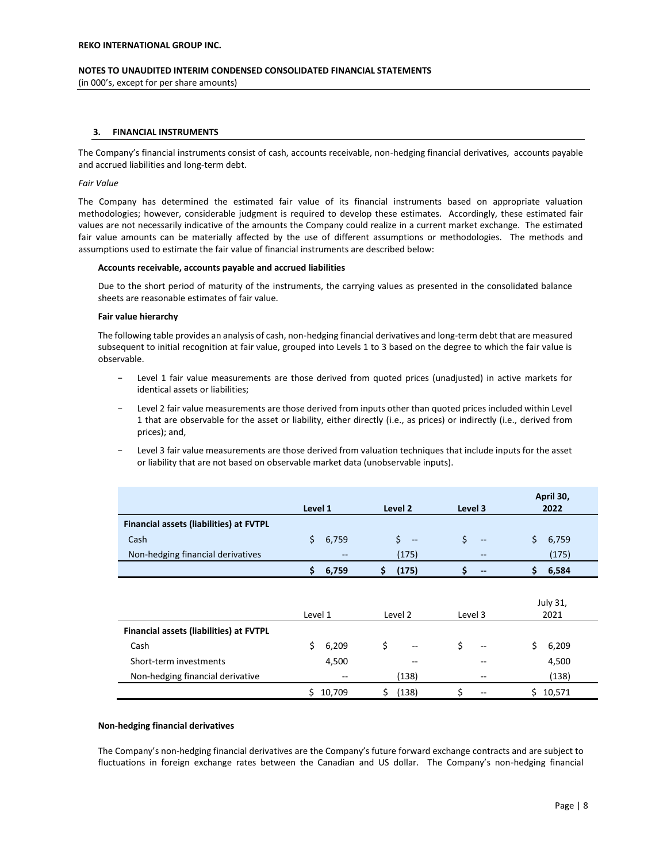(in 000's, except for per share amounts)

## **3. FINANCIAL INSTRUMENTS**

The Company's financial instruments consist of cash, accounts receivable, non-hedging financial derivatives, accounts payable and accrued liabilities and long-term debt.

#### *Fair Value*

The Company has determined the estimated fair value of its financial instruments based on appropriate valuation methodologies; however, considerable judgment is required to develop these estimates. Accordingly, these estimated fair values are not necessarily indicative of the amounts the Company could realize in a current market exchange. The estimated fair value amounts can be materially affected by the use of different assumptions or methodologies. The methods and assumptions used to estimate the fair value of financial instruments are described below:

#### **Accounts receivable, accounts payable and accrued liabilities**

Due to the short period of maturity of the instruments, the carrying values as presented in the consolidated balance sheets are reasonable estimates of fair value.

#### **Fair value hierarchy**

The following table provides an analysis of cash, non-hedging financial derivatives and long-term debt that are measured subsequent to initial recognition at fair value, grouped into Levels 1 to 3 based on the degree to which the fair value is observable.

- Level 1 fair value measurements are those derived from quoted prices (unadjusted) in active markets for identical assets or liabilities;
- − Level 2 fair value measurements are those derived from inputs other than quoted prices included within Level 1 that are observable for the asset or liability, either directly (i.e., as prices) or indirectly (i.e., derived from prices); and,
- − Level 3 fair value measurements are those derived from valuation techniques that include inputs for the asset or liability that are not based on observable market data (unobservable inputs).

|                                                | Level 1 |        | Level 2                      | Level 3 |                          |    | April 30,<br>2022 |
|------------------------------------------------|---------|--------|------------------------------|---------|--------------------------|----|-------------------|
| <b>Financial assets (liabilities) at FVTPL</b> |         |        |                              |         |                          |    |                   |
| Cash                                           | Ś.      | 6,759  | $\mathsf{\dot{S}}$<br>$\sim$ | \$      | $\sim$                   | Ś. | 6,759             |
| Non-hedging financial derivatives              |         | --     | (175)                        |         |                          |    | (175)             |
|                                                | \$      | 6,759  | \$<br>(175)                  | \$      | --                       | \$ | 6,584             |
|                                                |         |        |                              |         |                          |    | July 31,          |
|                                                | Level 1 |        | Level 2                      | Level 3 |                          |    | 2021              |
| <b>Financial assets (liabilities) at FVTPL</b> |         |        |                              |         |                          |    |                   |
| Cash                                           | Ś.      | 6,209  | \$<br>--                     | \$      | $\overline{\phantom{m}}$ | Ś. | 6,209             |
| Short-term investments                         |         | 4,500  | --                           |         |                          |    | 4,500             |
| Non-hedging financial derivative               |         | $- -$  | (138)                        |         | --                       |    | (138)             |
|                                                | \$      | 10,709 | \$<br>(138)                  | \$      |                          | \$ | 10,571            |

#### **Non-hedging financial derivatives**

The Company's non-hedging financial derivatives are the Company's future forward exchange contracts and are subject to fluctuations in foreign exchange rates between the Canadian and US dollar. The Company's non-hedging financial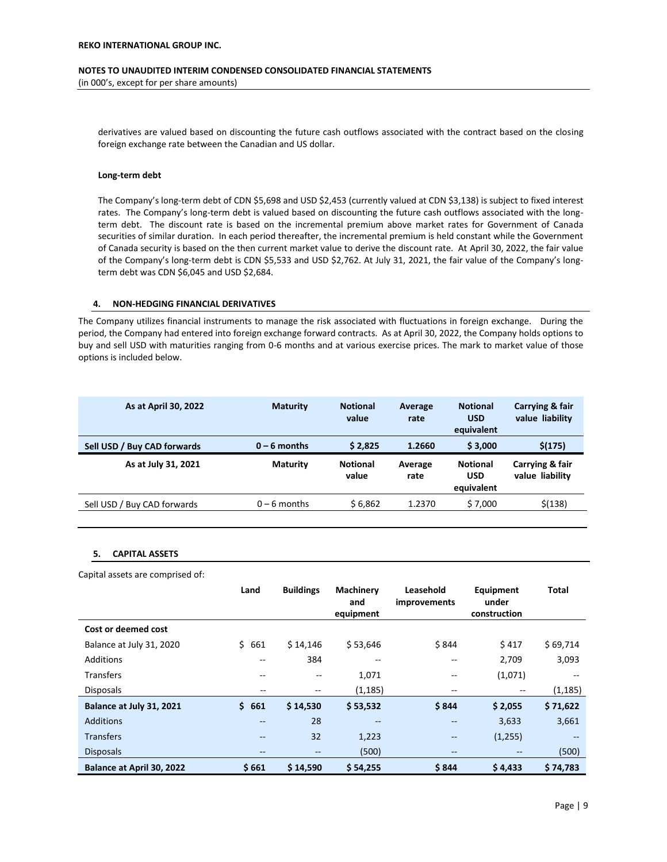(in 000's, except for per share amounts)

derivatives are valued based on discounting the future cash outflows associated with the contract based on the closing foreign exchange rate between the Canadian and US dollar.

## **Long-term debt**

The Company's long-term debt of CDN \$5,698 and USD \$2,453 (currently valued at CDN \$3,138) is subject to fixed interest rates. The Company's long-term debt is valued based on discounting the future cash outflows associated with the longterm debt. The discount rate is based on the incremental premium above market rates for Government of Canada securities of similar duration. In each period thereafter, the incremental premium is held constant while the Government of Canada security is based on the then current market value to derive the discount rate. At April 30, 2022, the fair value of the Company's long-term debt is CDN \$5,533 and USD \$2,762. At July 31, 2021, the fair value of the Company's longterm debt was CDN \$6,045 and USD \$2,684.

## **4. NON-HEDGING FINANCIAL DERIVATIVES**

The Company utilizes financial instruments to manage the risk associated with fluctuations in foreign exchange. During the period, the Company had entered into foreign exchange forward contracts. As at April 30, 2022, the Company holds options to buy and sell USD with maturities ranging from 0-6 months and at various exercise prices. The mark to market value of those options is included below.

| As at April 30, 2022        | <b>Maturity</b> | <b>Notional</b><br>value | Average<br>rate | <b>Notional</b><br><b>USD</b><br>equivalent | Carrying & fair<br>value liability |
|-----------------------------|-----------------|--------------------------|-----------------|---------------------------------------------|------------------------------------|
| Sell USD / Buy CAD forwards | $0 - 6$ months  | \$2,825                  | 1.2660          | \$3,000                                     | \$(175)                            |
| As at July 31, 2021         | <b>Maturity</b> | <b>Notional</b><br>value | Average<br>rate | <b>Notional</b><br><b>USD</b><br>equivalent | Carrying & fair<br>value liability |
| Sell USD / Buy CAD forwards | $0 - 6$ months  | \$6,862                  | 1.2370          | \$7,000                                     | \$(138)                            |

## **5. CAPITAL ASSETS**

Capital assets are comprised of:

|                           | Land              | <b>Buildings</b>         | <b>Machinery</b><br>and<br>equipment | Leasehold<br>improvements | Equipment<br>under<br>construction | <b>Total</b>      |
|---------------------------|-------------------|--------------------------|--------------------------------------|---------------------------|------------------------------------|-------------------|
| Cost or deemed cost       |                   |                          |                                      |                           |                                    |                   |
| Balance at July 31, 2020  | \$661             | \$14.146                 | \$53,646                             | \$844                     | \$417                              | \$69,714          |
| <b>Additions</b>          | $- -$             | 384                      | --                                   | $\qquad \qquad -$         | 2,709                              | 3,093             |
| <b>Transfers</b>          | $- -$             | $\overline{\phantom{m}}$ | 1,071                                | $\sim$                    | (1,071)                            | $- -$             |
| <b>Disposals</b>          | $-$               | $- -$                    | (1, 185)                             | $\qquad \qquad -$         | $- -$                              | (1, 185)          |
| Balance at July 31, 2021  | \$661             | \$14,530                 | \$53,532                             | \$844                     | \$2,055                            | \$71,622          |
| Additions                 | $\qquad \qquad -$ | 28                       | --                                   | $--$                      | 3,633                              | 3,661             |
| <b>Transfers</b>          | $\qquad \qquad -$ | 32                       | 1,223                                | $\qquad \qquad -$         | (1,255)                            | $\qquad \qquad -$ |
| <b>Disposals</b>          | $- -$             | $- -$                    | (500)                                | $- -$                     | $- -$                              | (500)             |
| Balance at April 30, 2022 | \$661             | \$14,590                 | \$54,255                             | \$844                     | \$4,433                            | \$74,783          |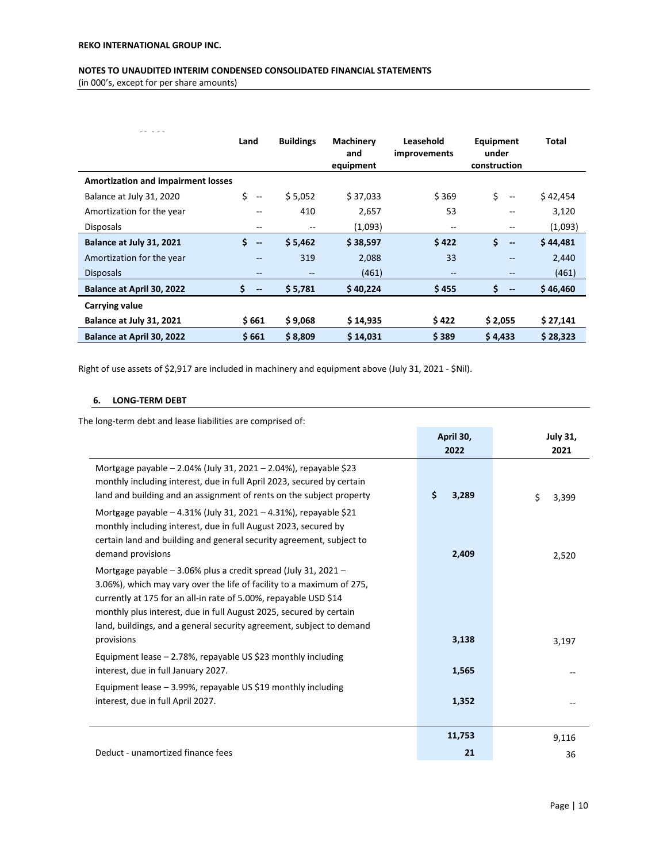(in 000's, except for per share amounts)

| .                                         | Land                                  | <b>Buildings</b> | Machinery<br>and<br>equipment | Leasehold<br>improvements | Equipment<br>under<br>construction | <b>Total</b> |
|-------------------------------------------|---------------------------------------|------------------|-------------------------------|---------------------------|------------------------------------|--------------|
| <b>Amortization and impairment losses</b> |                                       |                  |                               |                           |                                    |              |
| Balance at July 31, 2020                  | \$<br>$\sim$                          | \$5,052          | \$37,033                      | \$369                     | \$<br>$\overline{\phantom{m}}$     | \$42,454     |
| Amortization for the year                 | --                                    | 410              | 2,657                         | 53                        |                                    | 3,120        |
| <b>Disposals</b>                          | $\hspace{0.05cm}$ – $\hspace{0.05cm}$ | --               | (1,093)                       | --                        | --                                 | (1,093)      |
| Balance at July 31, 2021                  | \$<br>$\overline{\phantom{a}}$        | \$5,462          | \$38,597                      | \$422                     | Ś<br>$\qquad \qquad \cdots$        | \$44,481     |
| Amortization for the year                 | $-$                                   | 319              | 2,088                         | 33                        | --                                 | 2,440        |
| <b>Disposals</b>                          | $- -$                                 | $- -$            | (461)                         | $- -$                     | $- -$                              | (461)        |
| Balance at April 30, 2022                 | $\overline{\phantom{a}}$              | \$5,781          | \$40,224                      | \$455                     | $\overline{\phantom{a}}$           | \$46,460     |
| Carrying value                            |                                       |                  |                               |                           |                                    |              |
| Balance at July 31, 2021                  | \$661                                 | \$9,068          | \$14,935                      | \$422                     | \$2,055                            | \$27,141     |
| Balance at April 30, 2022                 | \$661                                 | \$8,809          | \$14,031                      | \$389                     | \$4,433                            | \$28,323     |

Right of use assets of \$2,917 are included in machinery and equipment above (July 31, 2021 - \$Nil).

## **6. LONG-TERM DEBT**

The long-term debt and lease liabilities are comprised of:

|                                                                                                                                                                                                                                                                                                                                                                                              | April 30,<br>2022 | <b>July 31,</b><br>2021 |
|----------------------------------------------------------------------------------------------------------------------------------------------------------------------------------------------------------------------------------------------------------------------------------------------------------------------------------------------------------------------------------------------|-------------------|-------------------------|
| Mortgage payable - 2.04% (July 31, 2021 - 2.04%), repayable \$23<br>monthly including interest, due in full April 2023, secured by certain<br>land and building and an assignment of rents on the subject property                                                                                                                                                                           | \$<br>3,289       | Ś.<br>3,399             |
| Mortgage payable $-4.31\%$ (July 31, 2021 $-4.31\%$ ), repayable \$21<br>monthly including interest, due in full August 2023, secured by<br>certain land and building and general security agreement, subject to                                                                                                                                                                             |                   |                         |
| demand provisions<br>Mortgage payable - 3.06% plus a credit spread (July 31, 2021 -<br>3.06%), which may vary over the life of facility to a maximum of 275,<br>currently at 175 for an all-in rate of 5.00%, repayable USD \$14<br>monthly plus interest, due in full August 2025, secured by certain<br>land, buildings, and a general security agreement, subject to demand<br>provisions | 2,409<br>3,138    | 2,520<br>3,197          |
| Equipment lease $-2.78%$ , repayable US \$23 monthly including<br>interest, due in full January 2027.                                                                                                                                                                                                                                                                                        | 1,565             |                         |
| Equipment lease $-3.99%$ , repayable US \$19 monthly including<br>interest, due in full April 2027.                                                                                                                                                                                                                                                                                          | 1,352             |                         |
|                                                                                                                                                                                                                                                                                                                                                                                              | 11,753            | 9,116                   |
| Deduct - unamortized finance fees                                                                                                                                                                                                                                                                                                                                                            | 21                | 36                      |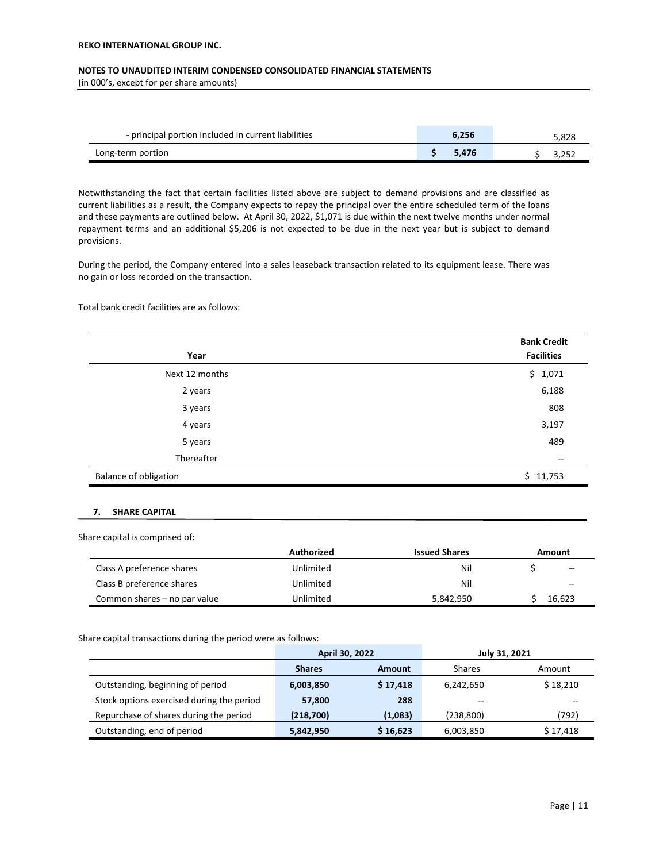(in 000's, except for per share amounts)

| - principal portion included in current liabilities | 6.256 | 5,828 |
|-----------------------------------------------------|-------|-------|
| Long-term portion                                   | 5.476 | 3.252 |

Notwithstanding the fact that certain facilities listed above are subject to demand provisions and are classified as current liabilities as a result, the Company expects to repay the principal over the entire scheduled term of the loans and these payments are outlined below. At April 30, 2022, \$1,071 is due within the next twelve months under normal repayment terms and an additional \$5,206 is not expected to be due in the next year but is subject to demand provisions.

During the period, the Company entered into a sales leaseback transaction related to its equipment lease. There was no gain or loss recorded on the transaction.

Total bank credit facilities are as follows:

| Year                         | <b>Bank Credit</b><br><b>Facilities</b> |
|------------------------------|-----------------------------------------|
| Next 12 months               | \$1,071                                 |
| 2 years                      | 6,188                                   |
| 3 years                      | 808                                     |
| 4 years                      | 3,197                                   |
| 5 years                      | 489                                     |
| Thereafter                   | $\overline{\phantom{m}}$                |
| <b>Balance of obligation</b> | \$11,753                                |

## **7. SHARE CAPITAL**

|  |  |  | Share capital is comprised of: |  |
|--|--|--|--------------------------------|--|
|--|--|--|--------------------------------|--|

|                              | Authorized | <b>Issued Shares</b><br>Amount |                                       |
|------------------------------|------------|--------------------------------|---------------------------------------|
| Class A preference shares    | Unlimited  | Nil                            | $\hspace{0.05cm}$ – $\hspace{0.05cm}$ |
| Class B preference shares    | Unlimited  | Nil                            | $-$                                   |
| Common shares – no par value | Unlimited  | 5,842,950                      | 16,623                                |

Share capital transactions during the period were as follows:

|                                           | April 30, 2022 |          | July 31, 2021 |          |
|-------------------------------------------|----------------|----------|---------------|----------|
|                                           | <b>Shares</b>  | Amount   | <b>Shares</b> | Amount   |
| Outstanding, beginning of period          | 6,003,850      | \$17.418 | 6.242.650     | \$18,210 |
| Stock options exercised during the period | 57.800         | 288      | --            | --       |
| Repurchase of shares during the period    | (218,700)      | (1,083)  | (238, 800)    | (792)    |
| Outstanding, end of period                | 5,842,950      | \$16,623 | 6,003,850     | \$17,418 |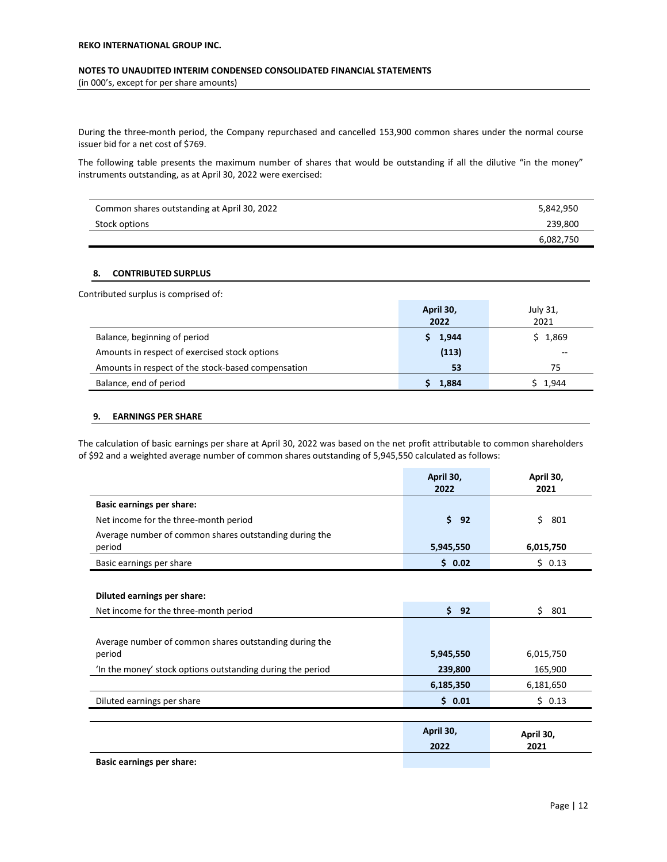(in 000's, except for per share amounts)

During the three-month period, the Company repurchased and cancelled 153,900 common shares under the normal course issuer bid for a net cost of \$769.

The following table presents the maximum number of shares that would be outstanding if all the dilutive "in the money" instruments outstanding, as at April 30, 2022 were exercised:

| Common shares outstanding at April 30, 2022 | 5,842,950 |
|---------------------------------------------|-----------|
| Stock options                               | 239.800   |
|                                             | 6,082,750 |

## **8. CONTRIBUTED SURPLUS**

Contributed surplus is comprised of:

|                                                    | April 30,<br>2022 | July 31,<br>2021 |
|----------------------------------------------------|-------------------|------------------|
| Balance, beginning of period                       | 1,944             | \$1,869          |
| Amounts in respect of exercised stock options      | (113)             | $- -$            |
| Amounts in respect of the stock-based compensation | 53                | 75               |
| Balance, end of period                             | 1.884             | 1.944            |

## **9. EARNINGS PER SHARE**

The calculation of basic earnings per share at April 30, 2022 was based on the net profit attributable to common shareholders of \$92 and a weighted average number of common shares outstanding of 5,945,550 calculated as follows:

|                                                                  | April 30,<br>2022 | April 30,<br>2021 |
|------------------------------------------------------------------|-------------------|-------------------|
| <b>Basic earnings per share:</b>                                 |                   |                   |
| Net income for the three-month period                            | \$<br>92          | Ś.<br>801         |
| Average number of common shares outstanding during the<br>period | 5,945,550         | 6,015,750         |
| Basic earnings per share                                         | \$0.02            | \$0.13            |
|                                                                  |                   |                   |
| <b>Diluted earnings per share:</b>                               |                   |                   |
| Net income for the three-month period                            | Ś.<br>92          | Ś.<br>801         |
|                                                                  |                   |                   |
| Average number of common shares outstanding during the           |                   |                   |
| period                                                           | 5,945,550         | 6,015,750         |
| 'In the money' stock options outstanding during the period       | 239,800           | 165,900           |
|                                                                  | 6,185,350         | 6,181,650         |
| Diluted earnings per share                                       | \$0.01            | \$0.13            |
|                                                                  |                   |                   |
|                                                                  | April 30,         | April 30,         |
|                                                                  | 2022              | 2021              |
| <b>Basic earnings per share:</b>                                 |                   |                   |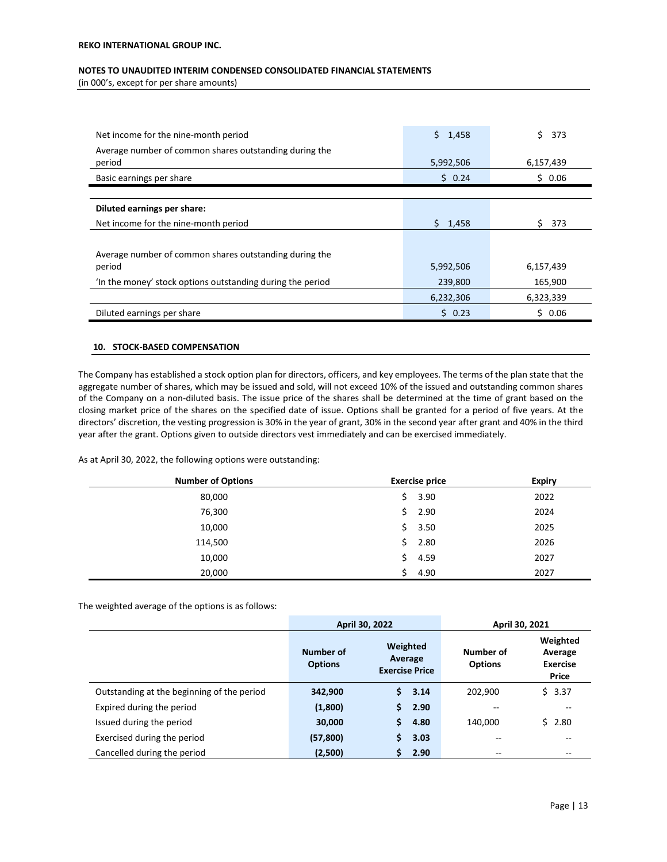(in 000's, except for per share amounts)

| Net income for the nine-month period                             | \$.<br>1,458 | Ś.<br>373  |
|------------------------------------------------------------------|--------------|------------|
| Average number of common shares outstanding during the<br>period | 5,992,506    | 6,157,439  |
| Basic earnings per share                                         | \$0.24       | 0.06<br>S. |
|                                                                  |              |            |
| Diluted earnings per share:                                      |              |            |
| Net income for the nine-month period                             | S.<br>1,458  | 373<br>S.  |
|                                                                  |              |            |
| Average number of common shares outstanding during the           |              |            |
| period                                                           | 5,992,506    | 6,157,439  |
| 'In the money' stock options outstanding during the period       | 239,800      | 165,900    |
|                                                                  | 6,232,306    | 6,323,339  |
| Diluted earnings per share                                       | 50.23        | \$0.06     |

## **10. STOCK-BASED COMPENSATION**

The Company has established a stock option plan for directors, officers, and key employees. The terms of the plan state that the aggregate number of shares, which may be issued and sold, will not exceed 10% of the issued and outstanding common shares of the Company on a non-diluted basis. The issue price of the shares shall be determined at the time of grant based on the closing market price of the shares on the specified date of issue. Options shall be granted for a period of five years. At the directors' discretion, the vesting progression is 30% in the year of grant, 30% in the second year after grant and 40% in the third year after the grant. Options given to outside directors vest immediately and can be exercised immediately.

## As at April 30, 2022, the following options were outstanding:

| <b>Number of Options</b> | <b>Exercise price</b> | <b>Expiry</b> |
|--------------------------|-----------------------|---------------|
| 80,000                   | 3.90<br>S.            | 2022          |
| 76,300                   | 2.90                  | 2024          |
| 10,000                   | 3.50                  | 2025          |
| 114,500                  | 2.80                  | 2026          |
| 10,000                   | 4.59                  | 2027          |
| 20,000                   | 4.90                  | 2027          |

The weighted average of the options is as follows:

|                                            | April 30, 2022                     |                                              | April 30, 2021              |                                                 |
|--------------------------------------------|------------------------------------|----------------------------------------------|-----------------------------|-------------------------------------------------|
|                                            | <b>Number of</b><br><b>Options</b> | Weighted<br>Average<br><b>Exercise Price</b> | Number of<br><b>Options</b> | Weighted<br>Average<br><b>Exercise</b><br>Price |
| Outstanding at the beginning of the period | 342,900                            | 3.14                                         | 202,900                     | \$3.37                                          |
| Expired during the period                  | (1,800)                            | \$.<br>2.90                                  | --                          | --                                              |
| Issued during the period                   | 30,000                             | \$<br>4.80                                   | 140,000                     | \$2.80                                          |
| Exercised during the period                | (57, 800)                          | \$<br>3.03                                   | --                          | --                                              |
| Cancelled during the period                | (2,500)                            | 2.90<br>S                                    | --                          | --                                              |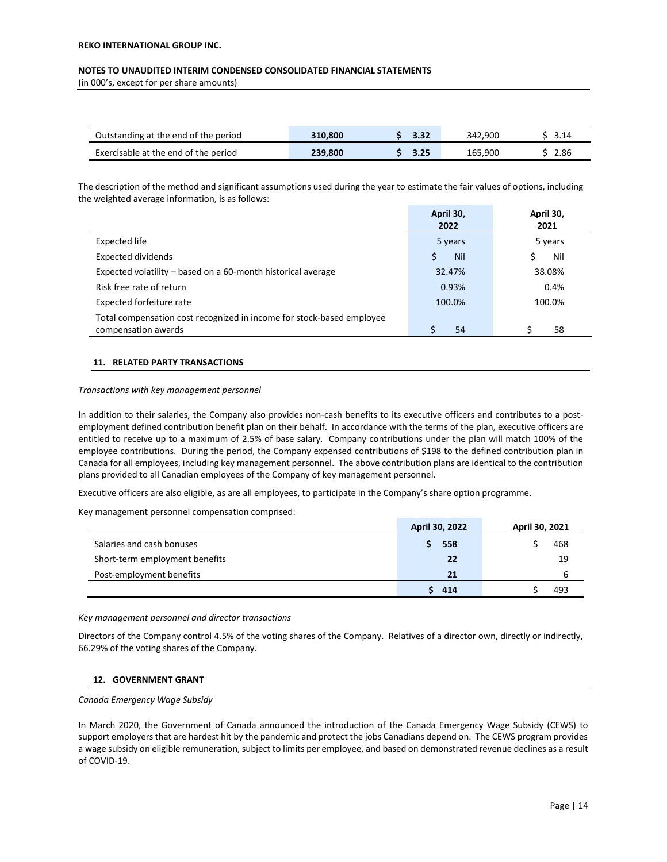(in 000's, except for per share amounts)

| Outstanding at the end of the period | 310.800 | 3.32 | 342.900 |      |
|--------------------------------------|---------|------|---------|------|
| Exercisable at the end of the period | 239.800 | 3.25 | 165.900 | 2.86 |

The description of the method and significant assumptions used during the year to estimate the fair values of options, including the weighted average information, is as follows:

|                                                                                              | April 30,<br>2022 | April 30,<br>2021 |
|----------------------------------------------------------------------------------------------|-------------------|-------------------|
| Expected life                                                                                | 5 years           | 5 years           |
| <b>Expected dividends</b>                                                                    | <b>Nil</b>        | Nil               |
| Expected volatility – based on a 60-month historical average                                 | 32.47%            | 38.08%            |
| Risk free rate of return                                                                     | 0.93%             | 0.4%              |
| Expected forfeiture rate                                                                     | 100.0%            | 100.0%            |
| Total compensation cost recognized in income for stock-based employee<br>compensation awards | 54                | 58                |

## **11. RELATED PARTY TRANSACTIONS**

## *Transactions with key management personnel*

In addition to their salaries, the Company also provides non-cash benefits to its executive officers and contributes to a postemployment defined contribution benefit plan on their behalf. In accordance with the terms of the plan, executive officers are entitled to receive up to a maximum of 2.5% of base salary. Company contributions under the plan will match 100% of the employee contributions. During the period, the Company expensed contributions of \$198 to the defined contribution plan in Canada for all employees, including key management personnel. The above contribution plans are identical to the contribution plans provided to all Canadian employees of the Company of key management personnel.

Executive officers are also eligible, as are all employees, to participate in the Company's share option programme.

Key management personnel compensation comprised:

|                                | April 30, 2022 | April 30, 2021 |
|--------------------------------|----------------|----------------|
| Salaries and cash bonuses      | 558            | 468            |
| Short-term employment benefits | 22             | 19             |
| Post-employment benefits       | 21             | b              |
|                                | 414            | 493            |

#### *Key management personnel and director transactions*

Directors of the Company control 4.5% of the voting shares of the Company. Relatives of a director own, directly or indirectly, 66.29% of the voting shares of the Company.

## **12. GOVERNMENT GRANT**

#### *Canada Emergency Wage Subsidy*

In March 2020, the Government of Canada announced the introduction of the Canada Emergency Wage Subsidy (CEWS) to support employers that are hardest hit by the pandemic and protect the jobs Canadians depend on. The CEWS program provides a wage subsidy on eligible remuneration, subject to limits per employee, and based on demonstrated revenue declines as a result of COVID-19.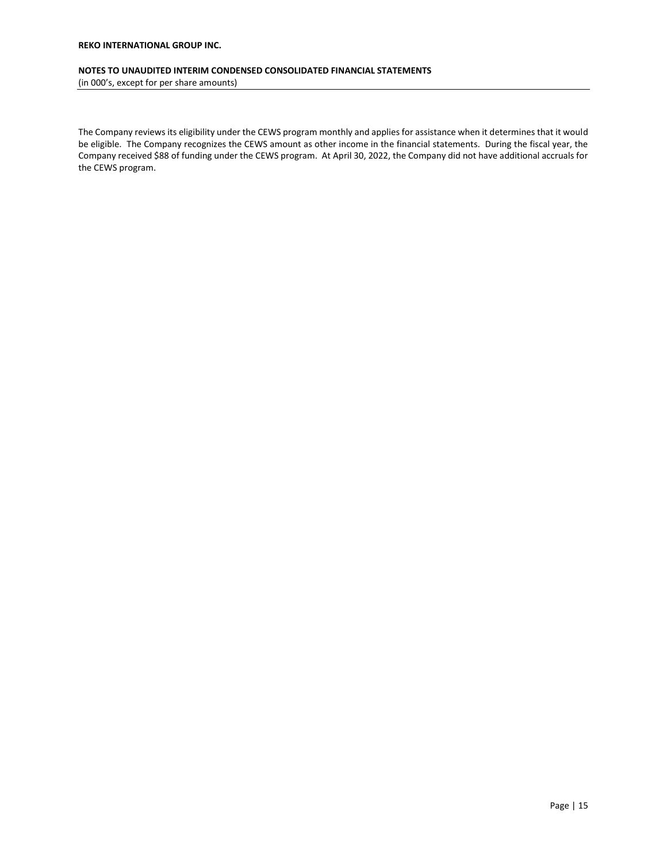(in 000's, except for per share amounts)

The Company reviews its eligibility under the CEWS program monthly and applies for assistance when it determines that it would be eligible. The Company recognizes the CEWS amount as other income in the financial statements. During the fiscal year, the Company received \$88 of funding under the CEWS program. At April 30, 2022, the Company did not have additional accruals for the CEWS program.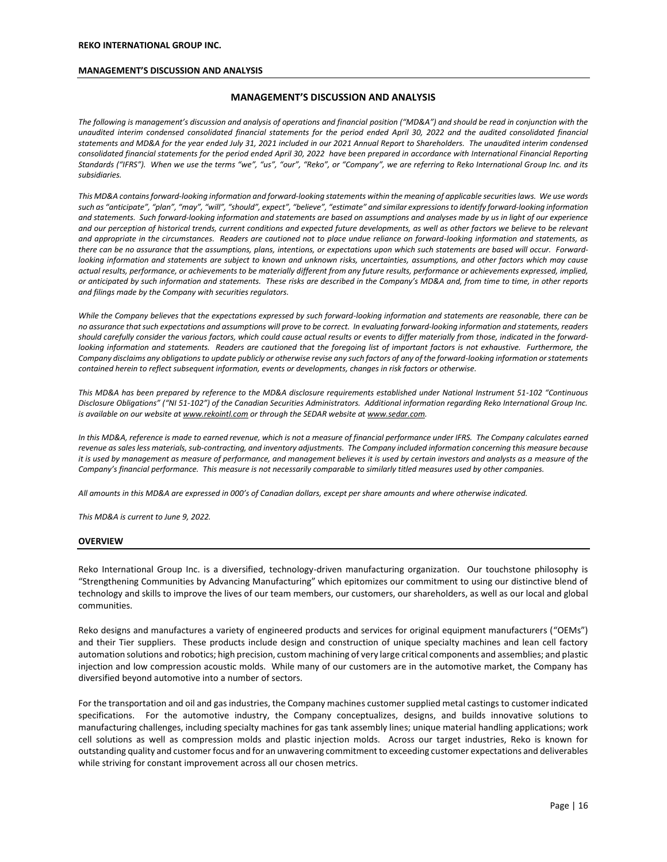#### **MANAGEMENT'S DISCUSSION AND ANALYSIS**

*The following is management's discussion and analysis of operations and financial position ("MD&A") and should be read in conjunction with the unaudited interim condensed consolidated financial statements for the period ended April 30, 2022 and the audited consolidated financial statements and MD&A for the year ended July 31, 2021 included in our 2021 Annual Report to Shareholders. The unaudited interim condensed consolidated financial statements for the period ended April 30, 2022 have been prepared in accordance with International Financial Reporting Standards ("IFRS"). When we use the terms "we", "us", "our", "Reko", or "Company", we are referring to Reko International Group Inc. and its subsidiaries.*

*This MD&A contains forward-looking information and forward-looking statements within the meaning of applicable securities laws. We use words such as "anticipate", "plan", "may", "will", "should", expect", "believe", "estimate" and similar expressions to identify forward-looking information and statements. Such forward-looking information and statements are based on assumptions and analyses made by us in light of our experience and our perception of historical trends, current conditions and expected future developments, as well as other factors we believe to be relevant and appropriate in the circumstances. Readers are cautioned not to place undue reliance on forward-looking information and statements, as there can be no assurance that the assumptions, plans, intentions, or expectations upon which such statements are based will occur. Forwardlooking information and statements are subject to known and unknown risks, uncertainties, assumptions, and other factors which may cause actual results, performance, or achievements to be materially different from any future results, performance or achievements expressed, implied, or anticipated by such information and statements. These risks are described in the Company's MD&A and, from time to time, in other reports and filings made by the Company with securities regulators.*

*While the Company believes that the expectations expressed by such forward-looking information and statements are reasonable, there can be no assurance that such expectations and assumptions will prove to be correct. In evaluating forward-looking information and statements, readers should carefully consider the various factors, which could cause actual results or events to differ materially from those, indicated in the forward*looking information and statements. Readers are cautioned that the foregoing list of important factors is not exhaustive. Furthermore, the *Company disclaims any obligations to update publicly or otherwise revise any such factors of any of the forward-looking information or statements contained herein to reflect subsequent information, events or developments, changes in risk factors or otherwise.*

*This MD&A has been prepared by reference to the MD&A disclosure requirements established under National Instrument 51-102 "Continuous Disclosure Obligations" ("NI 51-102") of the Canadian Securities Administrators. Additional information regarding Reko International Group Inc. is available on our website a[t www.rekointl.com](http://www.rekointl.com/) or through the SEDAR website a[t www.sedar.com.](http://www.sedar.com/)*

In this MD&A, reference is made to earned revenue, which is not a measure of financial performance under IFRS. The Company calculates earned *revenue as sales less materials, sub-contracting, and inventory adjustments. The Company included information concerning this measure because it is used by management as measure of performance, and management believes it is used by certain investors and analysts as a measure of the Company's financial performance. This measure is not necessarily comparable to similarly titled measures used by other companies.*

*All amounts in this MD&A are expressed in 000's of Canadian dollars, except per share amounts and where otherwise indicated.*

*This MD&A is current to June 9, 2022.* 

## **OVERVIEW**

Reko International Group Inc. is a diversified, technology-driven manufacturing organization. Our touchstone philosophy is "Strengthening Communities by Advancing Manufacturing" which epitomizes our commitment to using our distinctive blend of technology and skills to improve the lives of our team members, our customers, our shareholders, as well as our local and global communities.

Reko designs and manufactures a variety of engineered products and services for original equipment manufacturers ("OEMs") and their Tier suppliers. These products include design and construction of unique specialty machines and lean cell factory automation solutions and robotics; high precision, custom machining of very large critical components and assemblies; and plastic injection and low compression acoustic molds. While many of our customers are in the automotive market, the Company has diversified beyond automotive into a number of sectors.

For the transportation and oil and gas industries, the Company machines customer supplied metal castings to customer indicated specifications. For the automotive industry, the Company conceptualizes, designs, and builds innovative solutions to manufacturing challenges, including specialty machines for gas tank assembly lines; unique material handling applications; work cell solutions as well as compression molds and plastic injection molds. Across our target industries, Reko is known for outstanding quality and customer focus and for an unwavering commitment to exceeding customer expectations and deliverables while striving for constant improvement across all our chosen metrics.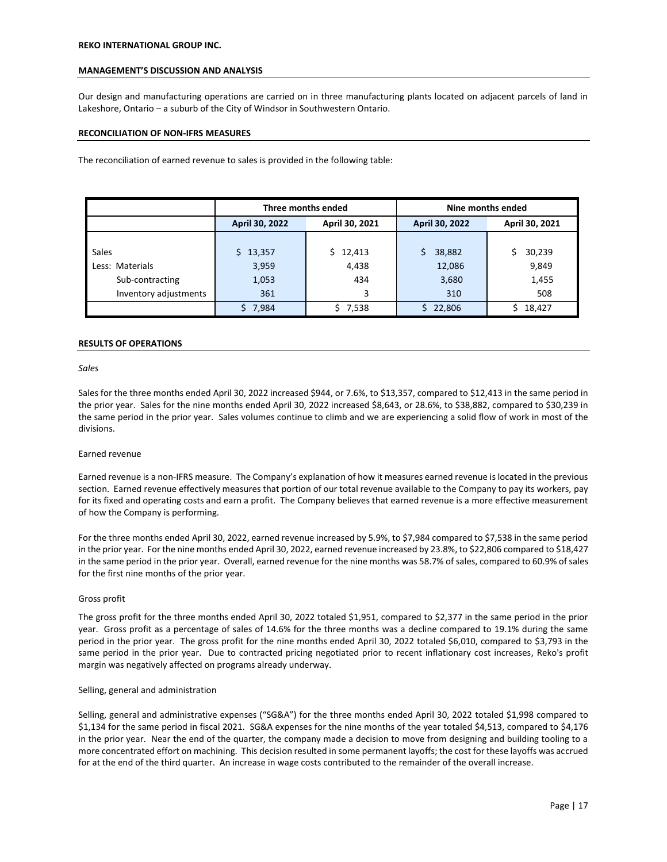Our design and manufacturing operations are carried on in three manufacturing plants located on adjacent parcels of land in Lakeshore, Ontario – a suburb of the City of Windsor in Southwestern Ontario.

#### **RECONCILIATION OF NON-IFRS MEASURES**

The reconciliation of earned revenue to sales is provided in the following table:

|                       |                                  | Three months ended | Nine months ended |                |  |
|-----------------------|----------------------------------|--------------------|-------------------|----------------|--|
|                       | April 30, 2022<br>April 30, 2021 |                    | April 30, 2022    | April 30, 2021 |  |
|                       |                                  |                    |                   |                |  |
| Sales                 | 13,357<br>S.                     | \$12,413           | 38,882            | 30,239         |  |
| Less: Materials       | 3,959                            | 4,438              | 12,086            | 9,849          |  |
| Sub-contracting       | 1,053                            | 434                | 3,680             | 1,455          |  |
| Inventory adjustments | 361                              | 3                  | 310               | 508            |  |
|                       | 7,984                            | 7,538              | 22,806            | 18,427         |  |

#### **RESULTS OF OPERATIONS**

#### *Sales*

Sales for the three months ended April 30, 2022 increased \$944, or 7.6%, to \$13,357, compared to \$12,413 in the same period in the prior year. Sales for the nine months ended April 30, 2022 increased \$8,643, or 28.6%, to \$38,882, compared to \$30,239 in the same period in the prior year. Sales volumes continue to climb and we are experiencing a solid flow of work in most of the divisions.

#### Earned revenue

Earned revenue is a non-IFRS measure. The Company's explanation of how it measures earned revenue is located in the previous section. Earned revenue effectively measures that portion of our total revenue available to the Company to pay its workers, pay for its fixed and operating costs and earn a profit. The Company believes that earned revenue is a more effective measurement of how the Company is performing.

For the three months ended April 30, 2022, earned revenue increased by 5.9%, to \$7,984 compared to \$7,538 in the same period in the prior year. For the nine months ended April 30, 2022, earned revenue increased by 23.8%, to \$22,806 compared to \$18,427 in the same period in the prior year. Overall, earned revenue for the nine months was 58.7% of sales, compared to 60.9% of sales for the first nine months of the prior year.

#### Gross profit

The gross profit for the three months ended April 30, 2022 totaled \$1,951, compared to \$2,377 in the same period in the prior year. Gross profit as a percentage of sales of 14.6% for the three months was a decline compared to 19.1% during the same period in the prior year. The gross profit for the nine months ended April 30, 2022 totaled \$6,010, compared to \$3,793 in the same period in the prior year. Due to contracted pricing negotiated prior to recent inflationary cost increases, Reko's profit margin was negatively affected on programs already underway.

#### Selling, general and administration

Selling, general and administrative expenses ("SG&A") for the three months ended April 30, 2022 totaled \$1,998 compared to \$1,134 for the same period in fiscal 2021. SG&A expenses for the nine months of the year totaled \$4,513, compared to \$4,176 in the prior year. Near the end of the quarter, the company made a decision to move from designing and building tooling to a more concentrated effort on machining. This decision resulted in some permanent layoffs; the cost for these layoffs was accrued for at the end of the third quarter. An increase in wage costs contributed to the remainder of the overall increase.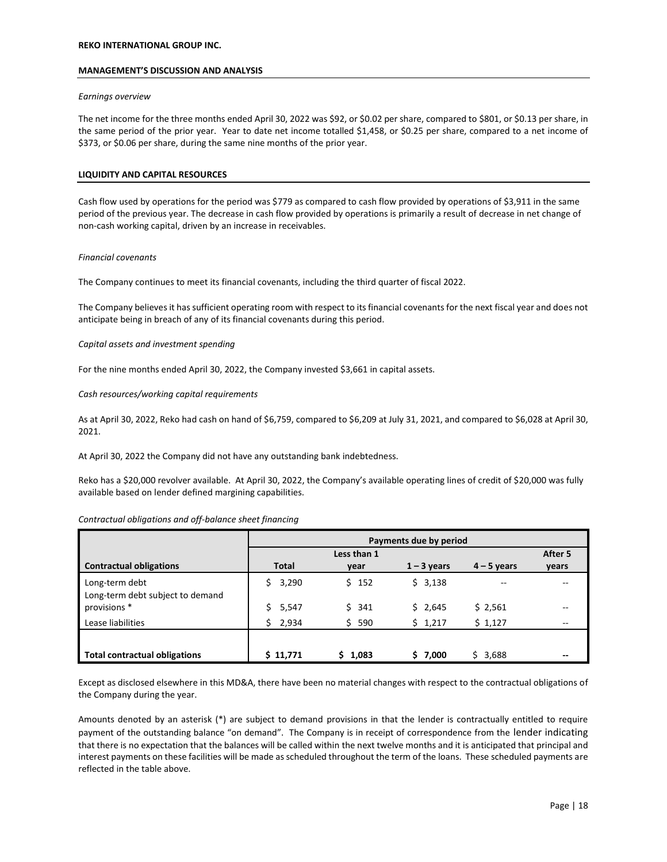#### *Earnings overview*

The net income for the three months ended April 30, 2022 was \$92, or \$0.02 per share, compared to \$801, or \$0.13 per share, in the same period of the prior year. Year to date net income totalled \$1,458, or \$0.25 per share, compared to a net income of \$373, or \$0.06 per share, during the same nine months of the prior year.

## **LIQUIDITY AND CAPITAL RESOURCES**

Cash flow used by operations for the period was \$779 as compared to cash flow provided by operations of \$3,911 in the same period of the previous year. The decrease in cash flow provided by operations is primarily a result of decrease in net change of non-cash working capital, driven by an increase in receivables.

## *Financial covenants*

The Company continues to meet its financial covenants, including the third quarter of fiscal 2022.

The Company believes it has sufficient operating room with respect to its financial covenants for the next fiscal year and does not anticipate being in breach of any of its financial covenants during this period.

#### *Capital assets and investment spending*

For the nine months ended April 30, 2022, the Company invested \$3,661 in capital assets.

## *Cash resources/working capital requirements*

As at April 30, 2022, Reko had cash on hand of \$6,759, compared to \$6,209 at July 31, 2021, and compared to \$6,028 at April 30, 2021.

At April 30, 2022 the Company did not have any outstanding bank indebtedness.

Reko has a \$20,000 revolver available. At April 30, 2022, the Company's available operating lines of credit of \$20,000 was fully available based on lender defined margining capabilities.

#### *Contractual obligations and off-balance sheet financing*

|                                                    | Payments due by period |             |               |               |         |
|----------------------------------------------------|------------------------|-------------|---------------|---------------|---------|
|                                                    |                        | Less than 1 |               |               | After 5 |
| <b>Contractual obligations</b>                     | <b>Total</b>           | year        | $1 - 3$ years | $4 - 5$ years | vears   |
| Long-term debt<br>Long-term debt subject to demand | 3,290<br>\$            | 5.152       | \$3,138       | $- -$         | --      |
| provisions *                                       | 5,547<br>Ś.            | $5\,341$    | \$2,645       | \$2,561       | --      |
| Lease liabilities                                  | 2,934                  | 590<br>S.   | \$1,217       | \$1,127       | --      |
|                                                    |                        |             |               |               |         |
| <b>Total contractual obligations</b>               | \$11,771               | 1,083       | 7,000<br>s    | 3,688         | --      |

Except as disclosed elsewhere in this MD&A, there have been no material changes with respect to the contractual obligations of the Company during the year.

Amounts denoted by an asterisk (\*) are subject to demand provisions in that the lender is contractually entitled to require payment of the outstanding balance "on demand". The Company is in receipt of correspondence from the lender indicating that there is no expectation that the balances will be called within the next twelve months and it is anticipated that principal and interest payments on these facilities will be made as scheduled throughout the term of the loans. These scheduled payments are reflected in the table above.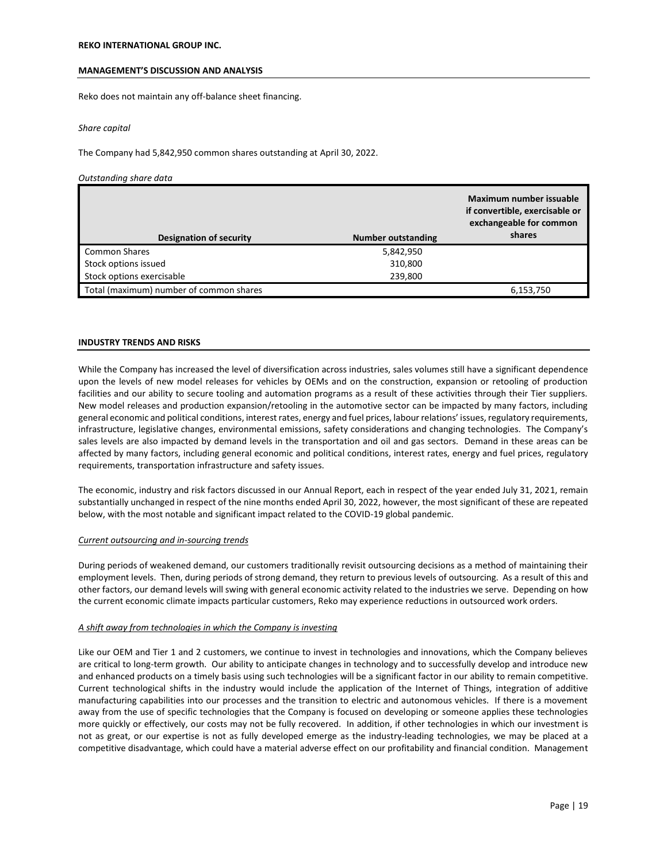Reko does not maintain any off-balance sheet financing.

#### *Share capital*

The Company had 5,842,950 common shares outstanding at April 30, 2022.

#### *Outstanding share data*

| <b>Designation of security</b>          | <b>Number outstanding</b> | Maximum number issuable<br>if convertible, exercisable or<br>exchangeable for common<br>shares |
|-----------------------------------------|---------------------------|------------------------------------------------------------------------------------------------|
| <b>Common Shares</b>                    | 5,842,950                 |                                                                                                |
| Stock options issued                    | 310,800                   |                                                                                                |
| Stock options exercisable               | 239.800                   |                                                                                                |
| Total (maximum) number of common shares |                           | 6,153,750                                                                                      |

## **INDUSTRY TRENDS AND RISKS**

While the Company has increased the level of diversification across industries, sales volumes still have a significant dependence upon the levels of new model releases for vehicles by OEMs and on the construction, expansion or retooling of production facilities and our ability to secure tooling and automation programs as a result of these activities through their Tier suppliers. New model releases and production expansion/retooling in the automotive sector can be impacted by many factors, including general economic and political conditions, interest rates, energy and fuel prices, labour relations' issues, regulatory requirements, infrastructure, legislative changes, environmental emissions, safety considerations and changing technologies. The Company's sales levels are also impacted by demand levels in the transportation and oil and gas sectors. Demand in these areas can be affected by many factors, including general economic and political conditions, interest rates, energy and fuel prices, regulatory requirements, transportation infrastructure and safety issues.

The economic, industry and risk factors discussed in our Annual Report, each in respect of the year ended July 31, 2021, remain substantially unchanged in respect of the nine months ended April 30, 2022, however, the most significant of these are repeated below, with the most notable and significant impact related to the COVID-19 global pandemic.

#### *Current outsourcing and in-sourcing trends*

During periods of weakened demand, our customers traditionally revisit outsourcing decisions as a method of maintaining their employment levels. Then, during periods of strong demand, they return to previous levels of outsourcing. As a result of this and other factors, our demand levels will swing with general economic activity related to the industries we serve. Depending on how the current economic climate impacts particular customers, Reko may experience reductions in outsourced work orders.

## *A shift away from technologies in which the Company is investing*

Like our OEM and Tier 1 and 2 customers, we continue to invest in technologies and innovations, which the Company believes are critical to long-term growth. Our ability to anticipate changes in technology and to successfully develop and introduce new and enhanced products on a timely basis using such technologies will be a significant factor in our ability to remain competitive. Current technological shifts in the industry would include the application of the Internet of Things, integration of additive manufacturing capabilities into our processes and the transition to electric and autonomous vehicles. If there is a movement away from the use of specific technologies that the Company is focused on developing or someone applies these technologies more quickly or effectively, our costs may not be fully recovered. In addition, if other technologies in which our investment is not as great, or our expertise is not as fully developed emerge as the industry-leading technologies, we may be placed at a competitive disadvantage, which could have a material adverse effect on our profitability and financial condition. Management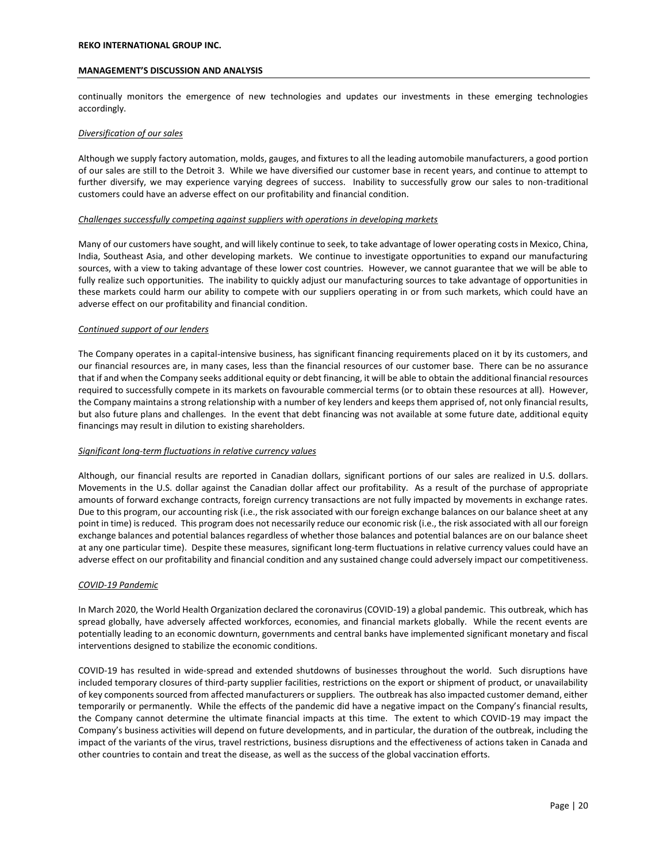continually monitors the emergence of new technologies and updates our investments in these emerging technologies accordingly.

## *Diversification of our sales*

Although we supply factory automation, molds, gauges, and fixtures to all the leading automobile manufacturers, a good portion of our sales are still to the Detroit 3. While we have diversified our customer base in recent years, and continue to attempt to further diversify, we may experience varying degrees of success. Inability to successfully grow our sales to non-traditional customers could have an adverse effect on our profitability and financial condition.

#### *Challenges successfully competing against suppliers with operations in developing markets*

Many of our customers have sought, and will likely continue to seek, to take advantage of lower operating costs in Mexico, China, India, Southeast Asia, and other developing markets. We continue to investigate opportunities to expand our manufacturing sources, with a view to taking advantage of these lower cost countries. However, we cannot guarantee that we will be able to fully realize such opportunities. The inability to quickly adjust our manufacturing sources to take advantage of opportunities in these markets could harm our ability to compete with our suppliers operating in or from such markets, which could have an adverse effect on our profitability and financial condition.

#### *Continued support of our lenders*

The Company operates in a capital-intensive business, has significant financing requirements placed on it by its customers, and our financial resources are, in many cases, less than the financial resources of our customer base. There can be no assurance that if and when the Company seeks additional equity or debt financing, it will be able to obtain the additional financial resources required to successfully compete in its markets on favourable commercial terms (or to obtain these resources at all). However, the Company maintains a strong relationship with a number of key lenders and keeps them apprised of, not only financial results, but also future plans and challenges. In the event that debt financing was not available at some future date, additional equity financings may result in dilution to existing shareholders.

#### *Significant long-term fluctuations in relative currency values*

Although, our financial results are reported in Canadian dollars, significant portions of our sales are realized in U.S. dollars. Movements in the U.S. dollar against the Canadian dollar affect our profitability. As a result of the purchase of appropriate amounts of forward exchange contracts, foreign currency transactions are not fully impacted by movements in exchange rates. Due to this program, our accounting risk (i.e., the risk associated with our foreign exchange balances on our balance sheet at any point in time) is reduced. This program does not necessarily reduce our economic risk (i.e., the risk associated with all our foreign exchange balances and potential balances regardless of whether those balances and potential balances are on our balance sheet at any one particular time). Despite these measures, significant long-term fluctuations in relative currency values could have an adverse effect on our profitability and financial condition and any sustained change could adversely impact our competitiveness.

#### *COVID-19 Pandemic*

In March 2020, the World Health Organization declared the coronavirus (COVID-19) a global pandemic. This outbreak, which has spread globally, have adversely affected workforces, economies, and financial markets globally. While the recent events are potentially leading to an economic downturn, governments and central banks have implemented significant monetary and fiscal interventions designed to stabilize the economic conditions.

COVID-19 has resulted in wide-spread and extended shutdowns of businesses throughout the world. Such disruptions have included temporary closures of third-party supplier facilities, restrictions on the export or shipment of product, or unavailability of key components sourced from affected manufacturers or suppliers. The outbreak has also impacted customer demand, either temporarily or permanently. While the effects of the pandemic did have a negative impact on the Company's financial results, the Company cannot determine the ultimate financial impacts at this time. The extent to which COVID-19 may impact the Company's business activities will depend on future developments, and in particular, the duration of the outbreak, including the impact of the variants of the virus, travel restrictions, business disruptions and the effectiveness of actions taken in Canada and other countries to contain and treat the disease, as well as the success of the global vaccination efforts.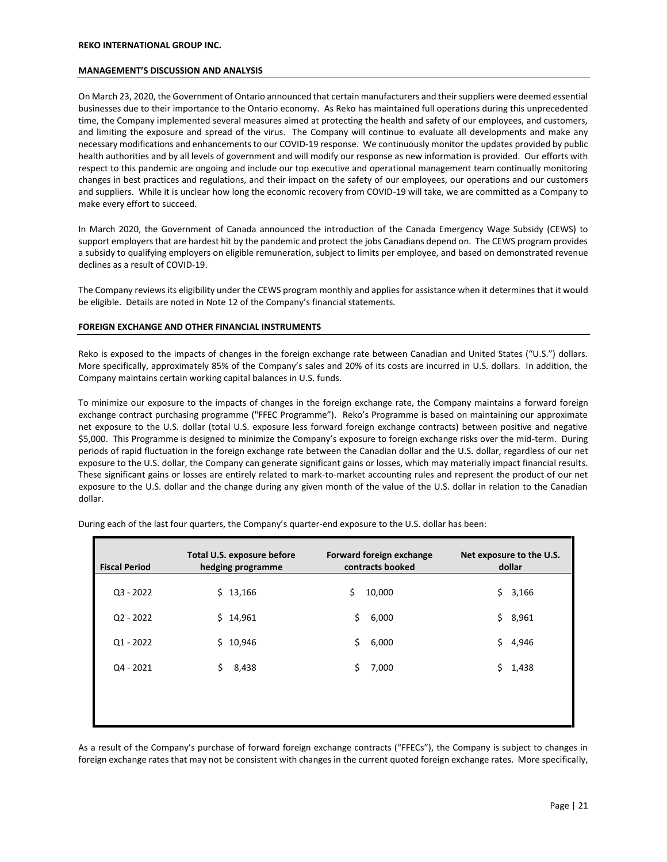On March 23, 2020, the Government of Ontario announced that certain manufacturers and their suppliers were deemed essential businesses due to their importance to the Ontario economy. As Reko has maintained full operations during this unprecedented time, the Company implemented several measures aimed at protecting the health and safety of our employees, and customers, and limiting the exposure and spread of the virus. The Company will continue to evaluate all developments and make any necessary modifications and enhancements to our COVID-19 response. We continuously monitor the updates provided by public health authorities and by all levels of government and will modify our response as new information is provided. Our efforts with respect to this pandemic are ongoing and include our top executive and operational management team continually monitoring changes in best practices and regulations, and their impact on the safety of our employees, our operations and our customers and suppliers. While it is unclear how long the economic recovery from COVID-19 will take, we are committed as a Company to make every effort to succeed.

In March 2020, the Government of Canada announced the introduction of the Canada Emergency Wage Subsidy (CEWS) to support employers that are hardest hit by the pandemic and protect the jobs Canadians depend on. The CEWS program provides a subsidy to qualifying employers on eligible remuneration, subject to limits per employee, and based on demonstrated revenue declines as a result of COVID-19.

The Company reviews its eligibility under the CEWS program monthly and applies for assistance when it determines that it would be eligible. Details are noted in Note 12 of the Company's financial statements.

## **FOREIGN EXCHANGE AND OTHER FINANCIAL INSTRUMENTS**

Reko is exposed to the impacts of changes in the foreign exchange rate between Canadian and United States ("U.S.") dollars. More specifically, approximately 85% of the Company's sales and 20% of its costs are incurred in U.S. dollars. In addition, the Company maintains certain working capital balances in U.S. funds.

To minimize our exposure to the impacts of changes in the foreign exchange rate, the Company maintains a forward foreign exchange contract purchasing programme ("FFEC Programme"). Reko's Programme is based on maintaining our approximate net exposure to the U.S. dollar (total U.S. exposure less forward foreign exchange contracts) between positive and negative \$5,000. This Programme is designed to minimize the Company's exposure to foreign exchange risks over the mid-term. During periods of rapid fluctuation in the foreign exchange rate between the Canadian dollar and the U.S. dollar, regardless of our net exposure to the U.S. dollar, the Company can generate significant gains or losses, which may materially impact financial results. These significant gains or losses are entirely related to mark-to-market accounting rules and represent the product of our net exposure to the U.S. dollar and the change during any given month of the value of the U.S. dollar in relation to the Canadian dollar.

| <b>Fiscal Period</b> | Total U.S. exposure before<br>hedging programme | Forward foreign exchange<br>contracts booked | Net exposure to the U.S.<br>dollar |
|----------------------|-------------------------------------------------|----------------------------------------------|------------------------------------|
| $Q3 - 2022$          | \$13,166                                        | \$<br>10,000                                 | \$<br>3,166                        |
| $Q2 - 2022$          | \$14,961                                        | \$<br>6,000                                  | \$3,961                            |
| $Q1 - 2022$          | \$10,946                                        | \$<br>6,000                                  | \$.<br>4,946                       |
| Q4 - 2021            | \$<br>8,438                                     | \$<br>7,000                                  | \$<br>1,438                        |
|                      |                                                 |                                              |                                    |
|                      |                                                 |                                              |                                    |

During each of the last four quarters, the Company's quarter-end exposure to the U.S. dollar has been:

As a result of the Company's purchase of forward foreign exchange contracts ("FFECs"), the Company is subject to changes in foreign exchange rates that may not be consistent with changes in the current quoted foreign exchange rates. More specifically,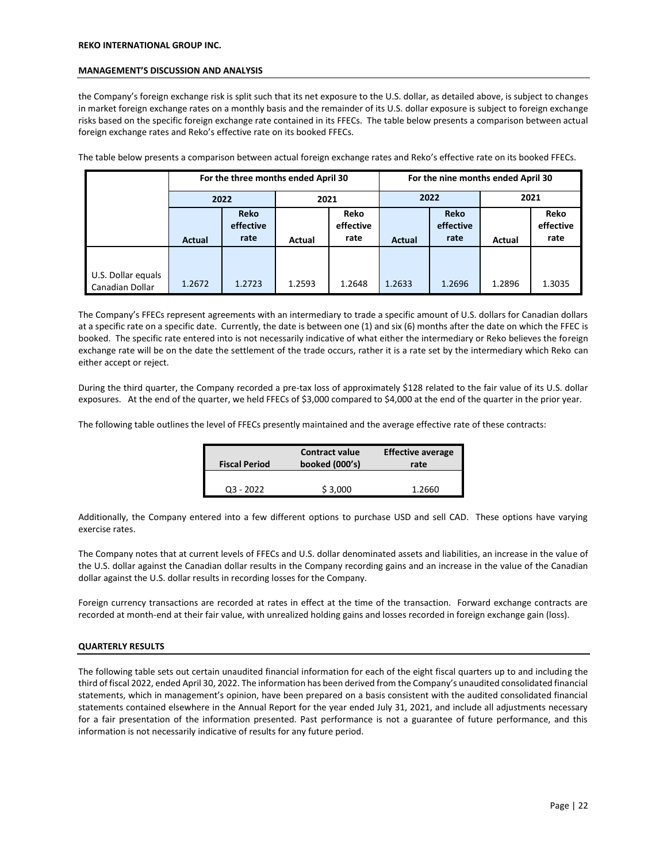the Company's foreign exchange risk is split such that its net exposure to the U.S. dollar, as detailed above, is subject to changes in market foreign exchange rates on a monthly basis and the remainder of its U.S. dollar exposure is subject to foreign exchange risks based on the specific foreign exchange rate contained in its FFECs. The table below presents a comparison between actual foreign exchange rates and Reko's effective rate on its booked FFECs.

The table below presents a comparison between actual foreign exchange rates and Reko's effective rate on its booked FFECs.

|                    | For the three months ended April 30 |                                  |        |                           | For the nine months ended April 30 |                                  |        |                           |
|--------------------|-------------------------------------|----------------------------------|--------|---------------------------|------------------------------------|----------------------------------|--------|---------------------------|
|                    |                                     | 2022                             | 2021   |                           |                                    | 2022                             |        | 2021                      |
|                    |                                     | <b>Reko</b><br>effective<br>rate |        | Reko<br>effective<br>rate |                                    | <b>Reko</b><br>effective<br>rate |        | Reko<br>effective<br>rate |
|                    | Actual                              |                                  | Actual |                           | Actual                             |                                  | Actual |                           |
| U.S. Dollar equals |                                     |                                  |        |                           |                                    |                                  |        |                           |
| Canadian Dollar    | 1.2672                              | 1.2723                           | 1.2593 | 1.2648                    | 1.2633                             | 1.2696                           | 1.2896 | 1.3035                    |

The Company's FFECs represent agreements with an intermediary to trade a specific amount of U.S. dollars for Canadian dollars at a specific rate on a specific date. Currently, the date is between one (1) and six (6) months after the date on which the FFEC is booked. The specific rate entered into is not necessarily indicative of what either the intermediary or Reko believes the foreign exchange rate will be on the date the settlement of the trade occurs, rather it is a rate set by the intermediary which Reko can either accept or reject.

During the third quarter, the Company recorded a pre-tax loss of approximately \$128 related to the fair value of its U.S. dollar exposures. At the end of the quarter, we held FFECs of \$3,000 compared to \$4,000 at the end of the quarter in the prior year.

The following table outlines the level of FFECs presently maintained and the average effective rate of these contracts:

| <b>Fiscal Period</b> | <b>Contract value</b><br>booked (000's) | <b>Effective average</b><br>rate |
|----------------------|-----------------------------------------|----------------------------------|
| $03 - 2022$          | \$3,000                                 | 1.2660                           |

Additionally, the Company entered into a few different options to purchase USD and sell CAD. These options have varying exercise rates.

The Company notes that at current levels of FFECs and U.S. dollar denominated assets and liabilities, an increase in the value of the U.S. dollar against the Canadian dollar results in the Company recording gains and an increase in the value of the Canadian dollar against the U.S. dollar results in recording losses for the Company.

Foreign currency transactions are recorded at rates in effect at the time of the transaction. Forward exchange contracts are recorded at month-end at their fair value, with unrealized holding gains and losses recorded in foreign exchange gain (loss).

## **QUARTERLY RESULTS**

The following table sets out certain unaudited financial information for each of the eight fiscal quarters up to and including the third of fiscal 2022, ended April 30, 2022. The information has been derived from the Company's unaudited consolidated financial statements, which in management's opinion, have been prepared on a basis consistent with the audited consolidated financial statements contained elsewhere in the Annual Report for the year ended July 31, 2021, and include all adjustments necessary for a fair presentation of the information presented. Past performance is not a guarantee of future performance, and this information is not necessarily indicative of results for any future period.